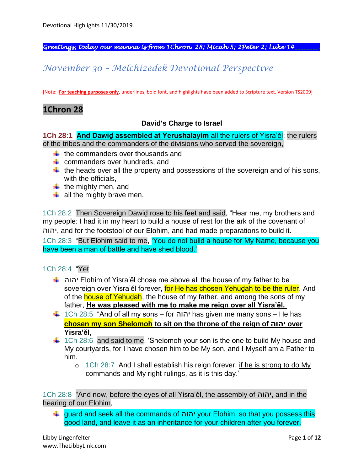*Greetings, today our manna is from 1Chron. 28; Micah 5; 2Peter 2; Luke 14\_\_\_\_\_\_\_\_.* 

# *November 30 – Melchizedek Devotional Perspective*

[Note: **For teaching purposes only**, underlines, bold font, and highlights have been added to Scripture text. Version TS2009]

### **1Chron 28**

#### **David's Charge to Israel**

**1Ch 28:1 And Dawiḏ assembled at Yerushalayim** all the rulers of Yisra'ěl: the rulers of the tribes and the commanders of the divisions who served the sovereign,

- $\frac{1}{\sqrt{1}}$  the commanders over thousands and
- $\leftarrow$  commanders over hundreds, and
- $\ddot$  the heads over all the property and possessions of the sovereign and of his sons, with the officials,
- $\ddot{\bullet}$  the mighty men, and
- $\frac{1}{2}$  all the mighty brave men.

1Ch 28:2 Then Sovereign Dawiḏ rose to his feet and said, "Hear me, my brothers and my people: I had it in my heart to build a house of rest for the ark of the covenant of יהוה, and for the footstool of our Elohim, and had made preparations to build it.

1Ch 28:3 "But Elohim said to me, 'You do not build a house for My Name, because you have been a man of battle and have shed blood.'

### 1Ch 28:4 "Yet

- יהוה Elohim of Yisra'ěl chose me above all the house of my father to be sovereign over Yisra'ěl forever, for He has chosen Yehudah to be the ruler. And of the **house of Yehudah**, the house of my father, and among the sons of my father, **He was pleased with me to make me reign over all Yisra'ěl.**
- 1Ch 28:5 "And of all my sons for יהוה has given me many sons He has **chosen my son Shelomoh to sit on the throne of the reign of יהוה over Yisra'ěl**,
- $\ddot{\bullet}$  1Ch 28:6 and said to me, 'Shelomoh your son is the one to build My house and My courtyards, for I have chosen him to be My son, and I Myself am a Father to him.
	- $\circ$  1Ch 28:7 And I shall establish his reign forever, if he is strong to do My commands and My right-rulings, as it is this day.'

1Ch 28:8 "And now, before the eyes of all Yisra'ěl, the assembly of יהוה, and in the hearing of our Elohim,

guard and seek all the commands of יהוה your Elohim, so that you possess this good land, and leave it as an inheritance for your children after you forever.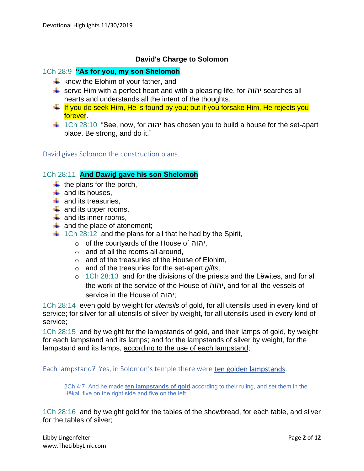### **David's Charge to Solomon**

### 1Ch 28:9 **"As for you, my son Shelomoh**,

- $\downarrow$  know the Elohim of your father, and
- serve Him with a perfect heart and with a pleasing life, for יהוה searches all hearts and understands all the intent of the thoughts.
- $\pm$  If you do seek Him, He is found by you; but if you forsake Him, He rejects you forever.
- 1Ch 28:10 "See, now, for יהוה has chosen you to build a house for the set-apart place. Be strong, and do it."

David gives Solomon the construction plans.

### 1Ch 28:11 **And Dawiḏ gave his son Shelomoh**

- $\ddot{\bullet}$  the plans for the porch,
- $\leftarrow$  and its houses,
- $\ddot{*}$  and its treasuries.
- $\downarrow$  and its upper rooms,
- $\downarrow$  and its inner rooms,
- $\frac{1}{2}$  and the place of atonement;
- $\ddagger$  1Ch 28:12 and the plans for all that he had by the Spirit,
	- o of the courtyards of the House of יהוה,
	- $\circ$  and of all the rooms all around,
	- o and of the treasuries of the House of Elohim,
	- o and of the treasuries for the set-apart *gifts*;
	- o 1Ch 28:13 and for the divisions of the priests and the Lěwites, and for all the work of the service of the House of יהוה, and for all the vessels of service in the House of יהוה;

1Ch 28:14 even gold by weight for *utensils* of gold, for all utensils used in every kind of service; for silver for all utensils of silver by weight, for all utensils used in every kind of service;

1Ch 28:15 and by weight for the lampstands of gold, and their lamps of gold, by weight for each lampstand and its lamps; and for the lampstands of silver by weight, for the lampstand and its lamps, according to the use of each lampstand;

Each lampstand? Yes, in Solomon's temple there were ten golden lampstands.

2Ch 4:7 And he made **ten lampstands of gold** according to their ruling, and set them in the Hěkal, five on the right side and five on the left.

1Ch 28:16 and by weight gold for the tables of the showbread, for each table, and silver for the tables of silver;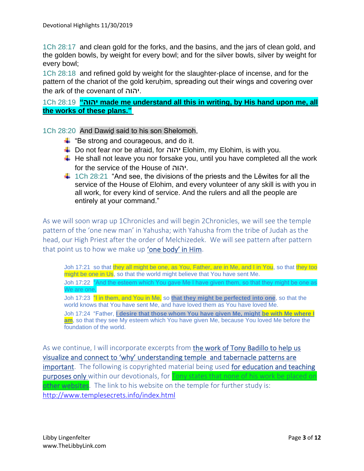1Ch 28:17 and clean gold for the forks, and the basins, and the jars of clean gold, and the golden bowls, by weight for every bowl; and for the silver bowls, silver by weight for every bowl;

1Ch 28:18 and refined gold by weight for the slaughter-place of incense, and for the pattern of the chariot of the gold keruḥim, spreading out their wings and covering over the ark of the covenant of יהוה.

1Ch 28:19 **"יהוה made me understand all this in writing, by His hand upon me, all the works of these plans."**

1Ch 28:20 And Dawiḏ said to his son Shelomoh,

- $\ddot{+}$  "Be strong and courageous, and do it.
- Do not fear nor be afraid, for יהוה Elohim, my Elohim, is with you.
- $\ddot{\phantom{1}}$  He shall not leave you nor forsake you, until you have completed all the work for the service of the House of יהוה.
- $\ddot{+}$  1Ch 28:21 "And see, the divisions of the priests and the Lewites for all the service of the House of Elohim, and every volunteer of any skill is with you in all work, for every kind of service. And the rulers and all the people are entirely at your command."

As we will soon wrap up 1Chronicles and will begin 2Chronicles, we will see the temple pattern of the 'one new man' in Yahusha; with Yahusha from the tribe of Judah as the head, our High Priest after the order of Melchizedek. We will see pattern after pattern that point us to how we make up 'one body' in Him.

Joh 17:21 so that they all might be one, as You, Father, are in Me, and I in You, so that they too might be one in Us, so that the world might believe that You have sent Me.

Joh 17:22 "And the esteem which You gave Me I have given them, so that they might be one as We are one,

Joh 17:23 "I in them, and You in Me, so **that they might be perfected into one**, so that the world knows that You have sent Me, and have loved them as You have loved Me.

Joh 17:24 "Father, **I desire that those whom You have given Me, might be with Me where I**  am, so that they see My esteem which You have given Me, because You loved Me before the foundation of the world.

As we continue, I will incorporate excerpts from the work of Tony Badillo to help us visualize and connect to 'why' understanding temple and tabernacle patterns are important. The following is copyrighted material being used for education and teaching purposes only within our devotionals, for Tony states that none of his work be placed on other websites. The link to his website on the temple for further study is: <http://www.templesecrets.info/index.html>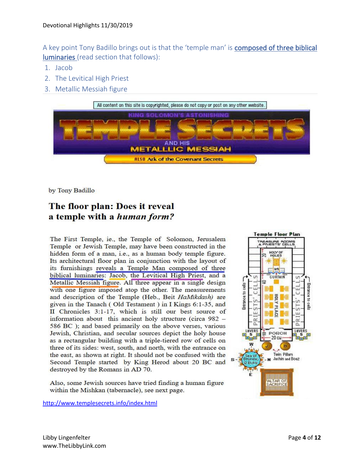A key point Tony Badillo brings out is that the 'temple man' is composed of three biblical luminaries (read section that follows):

- 1. Jacob
- 2. The Levitical High Priest
- 3. Metallic Messiah figure



by Tony Badillo

# The floor plan: Does it reveal a temple with a *human form?*

The First Temple, ie., the Temple of Solomon, Jerusalem Temple or Jewish Temple, may have been constructed in the hidden form of a man, i.e., as a human body temple figure. Its architectural floor plan in conjunction with the layout of its furnishings reveals a Temple Man composed of three biblical luminaries: Jacob, the Levitical High Priest, and a Metallic Messiah figure. All three appear in a single design with one figure imposed atop the other. The measurements and description of the Temple (Heb., Beit HaMikdash) are given in the Tanach (Old Testament) in I Kings 6:1-35, and II Chronicles 3:1-17, which is still our best source of information about this ancient holy structure (circa 982 – 586 BC); and based primarily on the above verses, various Jewish, Christian, and secular sources depict the holy house as a rectangular building with a triple-tiered row of cells on three of its sides: west, south, and north, with the entrance on the east, as shown at right. It should not be confused with the Second Temple started by King Herod about 20 BC and destroyed by the Romans in AD 70.

Also, some Jewish sources have tried finding a human figure within the Mishkan (tabernacle), see next page.

<http://www.templesecrets.info/index.html>

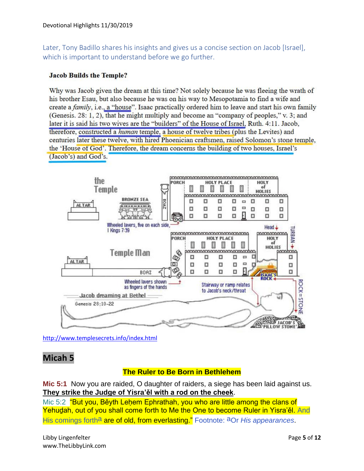Later, Tony Badillo shares his insights and gives us a concise section on Jacob [Israel], which is important to understand before we go further.

#### **Jacob Builds the Temple?**

Why was Jacob given the dream at this time? Not solely because he was fleeing the wrath of his brother Esau, but also because he was on his way to Mesopotamia to find a wife and create a family, i.e., a "house". Isaac practically ordered him to leave and start his own family (Genesis, 28: 1, 2), that he might multiply and become an "company of peoples," v. 3; and later it is said his two wives are the "builders" of the House of Israel, Ruth. 4:11. Jacob, therefore, constructed a *human* temple, a house of twelve tribes (plus the Levites) and centuries later these twelve, with hired Phoenician craftsmen, raised Solomon's stone temple, the 'House of God'. Therefore, the dream concerns the building of two houses, Israel's (Jacob's) and God's.



<http://www.templesecrets.info/index.html>

### **Micah 5**

### **The Ruler to Be Born in Bethlehem**

**Mic 5:1** Now you are raided, O daughter of raiders, a siege has been laid against us. **They strike the Judge of Yisra'ěl with a rod on the cheek**.

Mic 5:2 "But you, Běyth Lehem Ephrathah, you who are little among the clans of Yehuḏah, out of you shall come forth to Me the One to become Ruler in Yisra'ěl. And His comings forth<sup>a</sup> are of old, from everlasting." Footnote: <sup>a</sup>Or *His appearances*.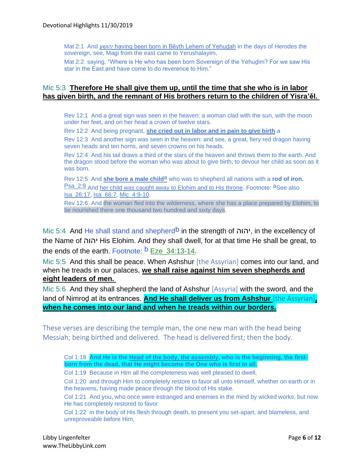Mat 2:1 And יהושע having been born in Běyth Leḥem of Yehuḏah in the days of Herodes the sovereign, see, Magi from the east came to Yerushalayim.

Mat 2:2 saying, "Where is He who has been born Sovereign of the Yehudim? For we saw His star in the East and have come to do reverence to Him."

### Mic 5:3 **Therefore He shall give them up, until the time that she who is in labor has given birth, and the remnant of His brothers return to the children of Yisra'ěl.**

Rev 12:1 And a great sign was seen in the heaven: a woman clad with the sun, with the moon under her feet, and on her head a crown of twelve stars.

Rev 12:2 And being pregnant, **she cried out in labor and in pain to give birth**.a

Rev 12:3 And another sign was seen in the heaven: and see, a great, fiery red dragon having seven heads and ten horns, and seven crowns on his heads.

Rev 12:4 And his tail draws a third of the stars of the heaven and throws them to the earth. And the dragon stood before the woman who was about to give birth, to devour her child as soon as it was born.

Rev 12:5 And **she bore a male child**a who was to shepherd all nations with a **rod of iron.** Psa\_2:9 And her child was caught away to Elohim and to His throne. Footnote: aSee also Isa\_26:17, Isa\_66:7, Mic\_4:9-10.

Rev 12:6 And the woman fled into the wilderness, where she has a place prepared by Elohim, to be nourished there one thousand two hundred and sixty days.

Mic 5:4 And He shall stand and shepherd<sup>b</sup> in the strength of יהוה, in the excellency of the Name of יהוה His Elohim. And they shall dwell, for at that time He shall be great, to the ends of the earth. Footnote:  $\overline{b}$  Eze 34:13-14.

Mic 5:5 And this shall be peace. When Ashshur [the Assyrian] comes into our land, and when he treads in our palaces, **we shall raise against him seven shepherds and eight leaders of men.**

Mic 5:6 And they shall shepherd the land of Ashshur [Assyria] with the sword, and the land of Nimroḏ at its entrances. **And He shall deliver us from Ashshur** [the Assyrian]**, when he comes into our land and when he treads within our borders.**

These verses are describing the temple man, the one new man with the head being Messiah; being birthed and delivered. The head is delivered first; then the body.

Col 1:18 **And He is the Head of the body, the assembly, who is the beginning, the firstborn from the dead, that He might become the One who is first in all.**

Col 1:19 Because in Him all the completeness was well pleased to dwell,

Col 1:20 and through Him to completely restore to favor all unto Himself, whether on earth or in the heavens, having made peace through the blood of His stake.

Col 1:21 And you, who once were estranged and enemies in the mind by wicked works, but now He has completely restored to favor

Col 1:22 in the body of His flesh through death, to present you set-apart, and blameless, and unreproveable before Him,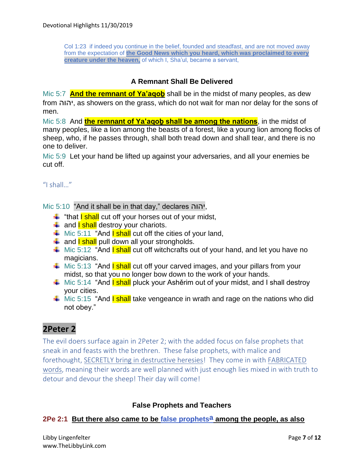Col 1:23 if indeed you continue in the belief, founded and steadfast, and are not moved away from the expectation of **the Good News which you heard, which was proclaimed to every creature under the heaven,** of which I, Sha'ul, became a servant,

### **A Remnant Shall Be Delivered**

Mic 5:7 **And the remnant of Ya'aqob** shall be in the midst of many peoples, as dew from יהוה, as showers on the grass, which do not wait for man nor delay for the sons of men.

Mic 5:8 And **the remnant of Ya'aqoḇ shall be among the nations**, in the midst of many peoples, like a lion among the beasts of a forest, like a young lion among flocks of sheep, who, if he passes through, shall both tread down and shall tear, and there is no one to deliver.

Mic 5:9 Let your hand be lifted up against your adversaries, and all your enemies be cut off.

### "I shall…"

Mic 5:10 "And it shall be in that day," declares יהוה,

- $\frac{1}{2}$  "that **I shall** cut off your horses out of your midst,
- $\frac{1}{2}$  and **I shall** destroy your chariots.
- $\frac{1}{2}$  Mic 5:11 "And **I shall** cut off the cities of your land,
- $\frac{1}{2}$  and **I shall** pull down all your strongholds.
- $\frac{1}{2}$  Mic 5:12 "And **I shall** cut off witchcrafts out of your hand, and let you have no magicians.
- $\frac{1}{2}$  Mic 5:13 "And **I shall** cut off your carved images, and your pillars from your midst, so that you no longer bow down to the work of your hands.
- $\frac{1}{2}$  Mic 5:14 "And **I shall** pluck your Ashěrim out of your midst, and I shall destroy your cities.
- $\frac{1}{2}$  Mic 5:15 "And **I shall** take vengeance in wrath and rage on the nations who did not obey."

## **2Peter 2**

The evil doers surface again in 2Peter 2; with the added focus on false prophets that sneak in and feasts with the brethren. These false prophets, with malice and forethought, SECRETLY bring in destructive heresies! They come in with FABRICATED words, meaning their words are well planned with just enough lies mixed in with truth to detour and devour the sheep! Their day will come!

### **False Prophets and Teachers**

### **2Pe 2:1 But there also came to be false prophetsa among the people, as also**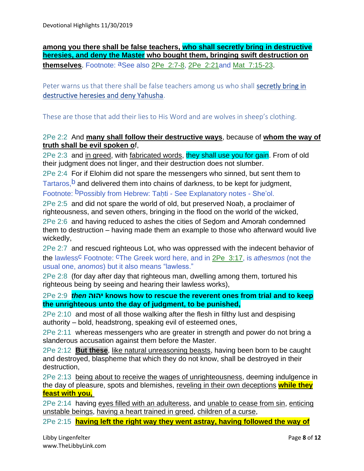**among you there shall be false teachers, who shall secretly bring in destructive heresies, and deny the Master who bought them, bringing swift destruction on themselves**. Footnote: aSee also 2Pe\_2:7-8, 2Pe\_2:21and Mat\_7:15-23.

Peter warns us that there shall be false teachers among us who shall secretly bring in destructive heresies and deny Yahusha.

These are those that add their lies to His Word and are wolves in sheep's clothing.

### 2Pe 2:2 And **many shall follow their destructive ways**, because of **whom the way of truth shall be evil spoken o**f,

2Pe 2:3 and in greed, with fabricated words, they shall use you for gain. From of old their judgment does not linger, and their destruction does not slumber.

2Pe 2:4 For if Elohim did not spare the messengers who sinned, but sent them to

Tartaros,  $b$  and delivered them into chains of darkness, to be kept for judgment,

Footnote: <sup>b</sup>Possibly from Hebrew: Tahti - See Explanatory notes - She'ol.

2Pe 2:5 and did not spare the world of old, but preserved Noaḥ, a proclaimer of righteousness, and seven others, bringing in the flood on the world of the wicked,

2Pe 2:6 and having reduced to ashes the cities of Seḏom and Amorah condemned them to destruction – having made them an example to those who afterward would live wickedly,

2Pe 2:7 and rescued righteous Lot, who was oppressed with the indecent behavior of the lawless<sup>C</sup> Footnote: <sup>C</sup>The Greek word here, and in 2Pe\_3:17, is *athesmos* (not the usual one, *anomos*) but it also means "lawless."

2Pe 2:8 (for day after day that righteous man, dwelling among them, tortured his righteous being by seeing and hearing their lawless works),

2Pe 2:9 *then* **יהוה knows how to rescue the reverent ones from trial and to keep the unrighteous unto the day of judgment, to be punished,**

2Pe 2:10 and most of all those walking after the flesh in filthy lust and despising authority – bold, headstrong, speaking evil of esteemed ones,

2Pe 2:11 whereas messengers who are greater in strength and power do not bring a slanderous accusation against them before the Master.

2Pe 2:12 **But these**, like natural unreasoning beasts, having been born to be caught and destroyed, blaspheme that which they do not know, shall be destroyed in their destruction,

2Pe 2:13 being about to receive the wages of unrighteousness, deeming indulgence in the day of pleasure, spots and blemishes, reveling in their own deceptions **while they feast with you,**

2Pe 2:14 having eyes filled with an adulteress, and unable to cease from sin, enticing unstable beings, having a heart trained in greed, children of a curse,

2Pe 2:15 **having left the right way they went astray, having followed the way of**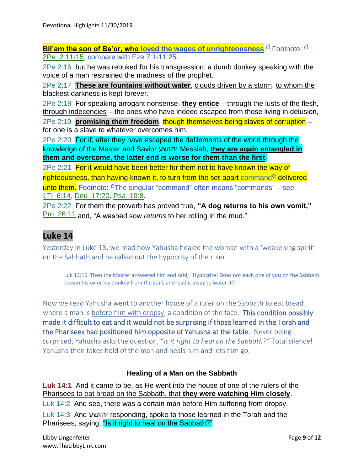**Bil'am the son of Be'or, who loved the wages of unrighteousness, d Footnote: d** 2Pe\_2:11-15, compare with Eze 7:1-11:25.

2Pe 2:16 but he was rebuked for his transgression: a dumb donkey speaking with the voice of a man restrained the madness of the prophet.

2Pe 2:17 **These are fountains without water**, clouds driven by a storm, to whom the blackest darkness is kept forever.

2Pe 2:18 For speaking arrogant nonsense, **they entice** – through the lusts of the flesh, through indecencies – the ones who have indeed escaped from those living in delusion,

2Pe 2:19 **promising them freedom**, though themselves being slaves of corruption – for one is a slave to whatever overcomes him.

2Pe 2:20 For if, after they have escaped the defilements of the world through the knowledge of the Master and Savior יהושע Messiah, **they are again entangled in them and overcome, the latter end is worse for them than the first**.

2Pe 2:21 For it would have been better for them not to have known the way of righteousness, than having known it, to turn from the set-apart commande delivered unto them. Footnote: <sup>e</sup>The singular "command" often means "commands" – see 1Ti\_6:14, Deu\_17:20, Psa\_19:8.

2Pe 2:22 For them the proverb has proved true, **"A dog returns to his own vomit,"** Pro\_26:11 and, "A washed sow *returns* to her rolling in the mud."

### **Luke 14**

Yesterday in Luke 13, we read how Yahusha healed the woman with a 'weakening spirit' on the Sabbath and he called out the hypocrisy of the ruler.

Luk 13:15 Then the Master answered him and said, "Hypocrite! Does not each one of you on the Sabbath loosen his ox or his donkey from the stall, and lead it away to water it?

Now we read Yahusha went to another house of a ruler on the Sabbath to eat bread where a man is before him with dropsy, a condition of the face. This condition possibly made it difficult to eat and it would not be surprising if those learned in the Torah and the Pharisees had positioned him opposite of Yahusha at the table. Never being surprised, Yahusha asks the question, "*Is it right to heal on the Sabbath?"* Total silence! Yahusha then takes hold of the man and heals him and lets him go.

### **Healing of a Man on the Sabbath**

**Luk 14:1** And it came to be, as He went into the house of one of the rulers of the Pharisees to eat bread on the Sabbath, that **they were watching Him closely**.

Luk 14:2 And see, there was a certain man before Him suffering from dropsy. Luk 14:3 And יהושע responding, spoke to those learned in the Torah and the Pharisees, saying, "Is it right to heal on the Sabbath?"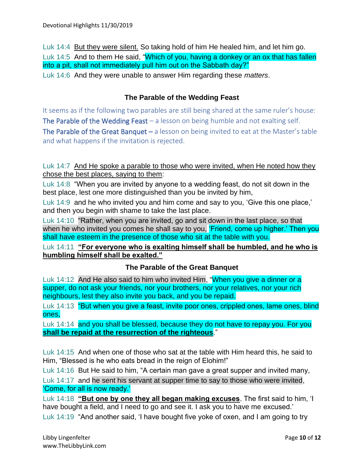Luk 14:4 But they were silent. So taking hold of him He healed him, and let him go. Luk 14:5 And to them He said, "Which of you, having a donkey or an ox that has fallen into a pit, shall not immediately pull him out on the Sabbath day?" Luk 14:6 And they were unable to answer Him regarding these *matters*.

### **The Parable of the Wedding Feast**

It seems as if the following two parables are still being shared at the same ruler's house: The Parable of the Wedding Feast  $-$  a lesson on being humble and not exalting self. The Parable of the Great Banquet  $-$  a lesson on being invited to eat at the Master's table and what happens if the invitation is rejected.

Luk 14:7 And He spoke a parable to those who were invited, when He noted how they chose the best places, saying to them:

Luk 14:8 "When you are invited by anyone to a wedding feast, do not sit down in the best place, lest one more distinguished than you be invited by him,

Luk 14:9 and he who invited you and him come and say to you, 'Give this one place,' and then you begin with shame to take the last place.

Luk 14:10 "Rather, when you are invited, go and sit down in the last place, so that when he who invited you comes he shall say to you, 'Friend, come up higher.' Then you shall have esteem in the presence of those who sit at the table with you.

Luk 14:11 **"For everyone who is exalting himself shall be humbled, and he who is humbling himself shall be exalted."**

### **The Parable of the Great Banquet**

Luk 14:12 And He also said to him who invited Him, "When you give a dinner or a supper, do not ask your friends, nor your brothers, nor your relatives, nor your rich neighbours, lest they also invite you back, and you be repaid.

Luk 14:13 "But when you give a feast, invite poor ones, crippled ones, lame ones, blind ones,

Luk 14:14 and you shall be blessed, because they do not have to repay you. For you **shall be repaid at the resurrection of the righteous**."

Luk 14:15 And when one of those who sat at the table with Him heard this, he said to Him, "Blessed is he who eats bread in the reign of Elohim!"

Luk 14:16 But He said to him, "A certain man gave a great supper and invited many,

Luk 14:17 and he sent his servant at supper time to say to those who were invited, 'Come, for all is now ready.'

Luk 14:18 **"But one by one they all began making excuses**. The first said to him, 'I have bought a field, and I need to go and see it. I ask you to have me excused.' Luk 14:19 "And another said, 'I have bought five yoke of oxen, and I am going to try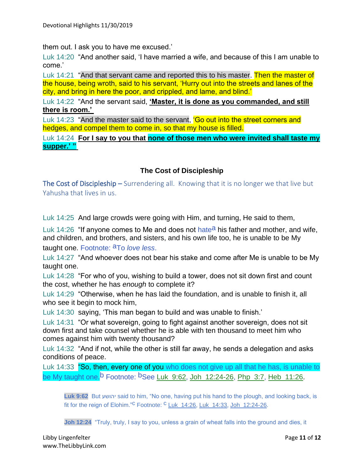them out. I ask you to have me excused.'

Luk 14:20 "And another said, 'I have married a wife, and because of this I am unable to come.'

Luk 14:21 "And that servant came and reported this to his master. Then the master of the house, being wroth, said to his servant, 'Hurry out into the streets and lanes of the city, and bring in here the poor, and crippled, and lame, and blind.'

Luk 14:22 "And the servant said, **'Master, it is done as you commanded, and still there is room.'**

Luk 14:23 "And the master said to the servant, 'Go out into the street corners and hedges, and compel them to come in, so that my house is filled.

Luk 14:24 **For I say to you that none of those men who were invited shall taste my supper.' "**

### **The Cost of Discipleship**

The Cost of Discipleship – Surrendering all. Knowing that it is no longer we that live but Yahusha that lives in us.

Luk 14:25 And large crowds were going with Him, and turning, He said to them,

Luk 14:26 "If anyone comes to Me and does not hate<sup>a</sup> his father and mother, and wife, and children, and brothers, and sisters, and his own life too, he is unable to be My taught one. Footnote: aTo *love less*.

Luk 14:27 "And whoever does not bear his stake and come after Me is unable to be My taught one.

Luk 14:28 "For who of you, wishing to build a tower, does not sit down first and count the cost, whether he has *enough* to complete it?

Luk 14:29 "Otherwise, when he has laid the foundation, and is unable to finish it, all who see it begin to mock him,

Luk 14:30 saying, 'This man began to build and was unable to finish.'

Luk 14:31 "Or what sovereign, going to fight against another sovereign, does not sit down first and take counsel whether he is able with ten thousand to meet him who comes against him with twenty thousand?

Luk 14:32 "And if not, while the other is still far away, he sends a delegation and asks conditions of peace.

Luk 14:33 "So, then, every one of you who does not give up all that he has, is unable to be My taught one.<sup>b</sup> Footnote: <sup>b</sup>See Luk 9:62, Joh 12:24-26, Php 3:7, Heb 11:26.

**Luk 9:62** But יהושע said to him, "No one, having put his hand to the plough, and looking back, is fit for the reign of Elohim."<sup>C</sup> Footnote: <sup>C</sup> Luk\_14:26, Luk\_14:33, Joh\_12:24-26.

Joh 12:24 "Truly, truly, I say to you, unless a grain of wheat falls into the ground and dies, it